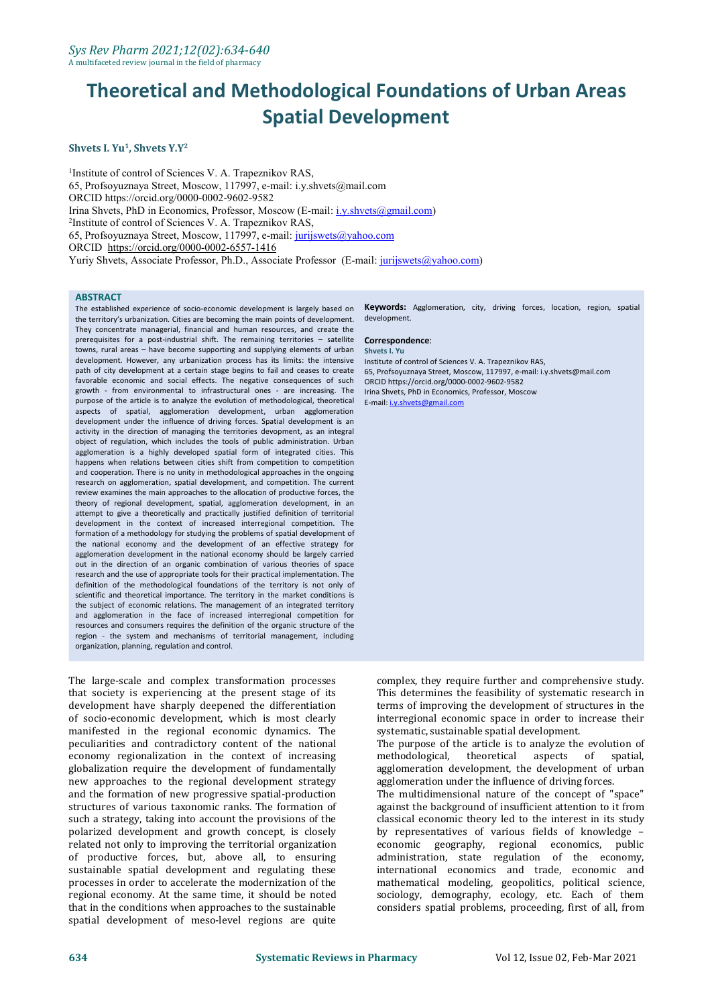#### **Shvets I. Yu 1 , Shvets Y.Y 2**

<sup>1</sup>Institute of control of Sciences V. A. Trapeznikov RAS, 65, Profsoyuznaya Street, Moscow, 117997, e-mail: i.y.shvets@mail.com ORCID https://orcid.org/0000-0002-9602-9582 Irina Shvets, PhD in Economics, Professor, Moscow (E-mail: [i.y.shvets@gmail.com\)](mailto:i.y.shvets@gmail.com) <sup>2</sup>Institute of control of Sciences V. A. Trapeznikov RAS, 65, Profsoyuznaya Street, Moscow, 117997, e-mail: [jurijswets@yahoo.com](mailto:jurijswets@yahoo.com) ORCID https://orcid.org/0000-0002-6557-1416 Yuriy Shvets, Associate Professor, Ph.D., Associate Professor (E-mail: [jurijswets@yahoo.com](mailto:jurijswets@yahoo.com))

#### **ABSTRACT**

The established experience of socio-economic development is largely based on the territory's urbanization. Cities are becoming the main points of development. They concentrate managerial, financial and human resources, and create the prerequisites for a post-industrial shift. The remaining territories – satellite towns, rural areas – have become supporting and supplying elements of urban development. However, any urbanization process has its limits: the intensive path of city development at a certain stage begins to fail and ceases to create favorable economic and social effects. The negative consequences of such growth - from environmental to infrastructural ones - are increasing. The purpose of the article is to analyze the evolution of methodological, theoretical aspects of spatial, agglomeration development, urban agglomeration development under the influence of driving forces. Spatial development is an activity in the direction of managing the territories devopment, as an integral object of regulation, which includes the tools of public administration. Urban agglomeration is a highly developed spatial form of integrated cities. This happens when relations between cities shift from competition to competition and cooperation. There is no unity in methodological approaches in the ongoing research on agglomeration, spatial development, and competition. The current review examines the main approaches to the allocation of productive forces, the theory of regional development, spatial, agglomeration development, in an attempt to give a theoretically and practically justified definition of territorial development in the context of increased interregional competition. The formation of a methodology for studying the problems of spatial development of the national economy and the development of an effective strategy for agglomeration development in the national economy should be largely carried out in the direction of an organic combination of various theories of space research and the use of appropriate tools for their practical implementation. The definition of the methodological foundations of the territory is not only of scientific and theoretical importance. The territory in the market conditions is the subject of economic relations. The management of an integrated territory and agglomeration in the face of increased interregional competition for resources and consumers requires the definition of the organic structure of the region - the system and mechanisms of territorial management, including organization, planning, regulation and control.

The large-scale and complex transformation processes that society is experiencing at the present stage of its development have sharply deepened the differentiation of socio-economic development, which is most clearly manifested in the regional economic dynamics. The peculiarities and contradictory content of the national economy regionalization in the context of increasing methodological, globalization require the development of fundamentally new approaches to the regional development strategy and the formation of new progressive spatial-production structures of various taxonomic ranks. The formation of such a strategy, taking into account the provisions of the polarized development and growth concept, is closely related not only to improving the territorial organization of productive forces, but, above all, to ensuring sustainable spatial development and regulating these processes in order to accelerate the modernization of the regional economy. At the same time, it should be noted that in the conditions when approaches to the sustainable spatial development of meso-level regions are quite

**Keywords:** Agglomeration, city, driving forces, location, region, spatial development.

#### **Correspondence**: **Shvets I. Yu**

Institute of control of Sciences V. A. Trapeznikov RAS, 65, Profsoyuznaya Street, Moscow, 117997, e-mail: i.y.shvets@mail.com ORCID https://orcid.org/0000-0002-9602-9582 Irina Shvets, PhD in Economics, Professor, Moscow E-mail: [i.y.shvets@gmail.com](mailto:i.y.shvets@gmail.com)

complex, they require further and comprehensive study. This determines the feasibility of systematic research in terms of improving the development of structures in the interregional economic space in order to increase their systematic, sustainable spatial development.

The purpose of the article is to analyze the evolution of methodological, theoretical aspects of spatial, methodological, theoretical aspects of spatial, agglomeration development, the development of urban agglomeration under the influence of driving forces.

The multidimensional nature of the concept of "space" against the background of insufficient attention to it from classical economic theory led to the interest in its study by representatives of various fields of knowledge – economic geography, regional economics, public administration, state regulation of the economy, international economics and trade, economic and mathematical modeling, geopolitics, political science, sociology, demography, ecology, etc. Each of them considers spatial problems, proceeding, first of all, from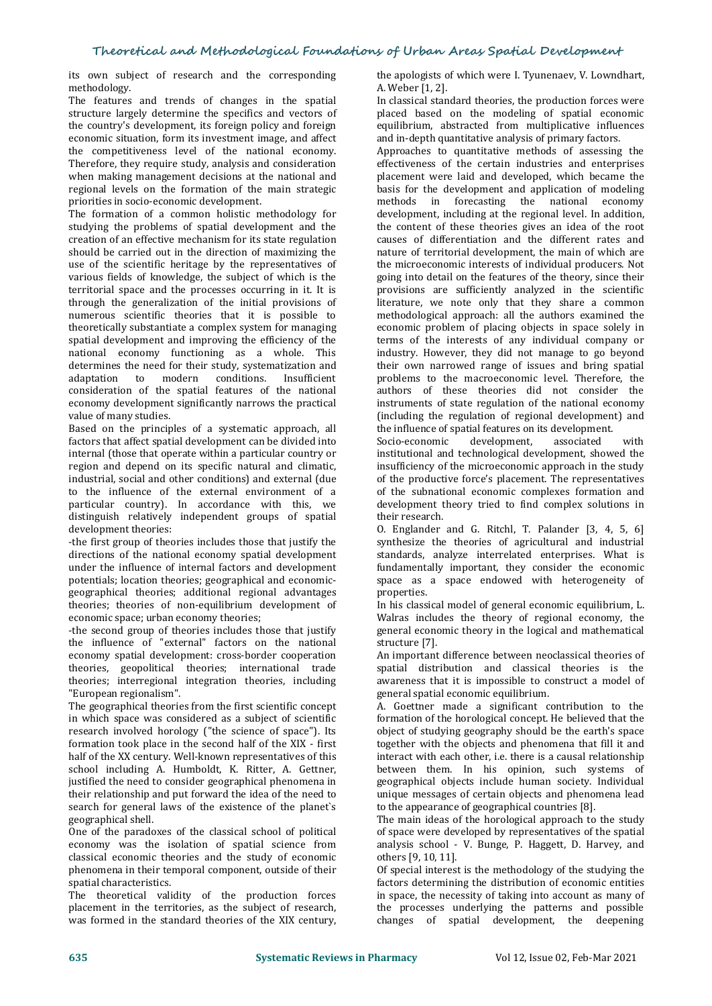its own subject of research and the corresponding methodology.

The features and trends of changes in the spatial structure largely determine the specifics and vectors of the country's development, its foreign policy and foreign economic situation, form its investment image, and affect the competitiveness level of the national economy. Therefore, they require study, analysis and consideration when making management decisions at the national and regional levels on the formation of the main strategic priorities in socio-economic development.

The formation of a common holistic methodology for studying the problems of spatial development and the creation of an effective mechanism for its state regulation should be carried out in the direction of maximizing the use of the scientific heritage by the representatives of various fields of knowledge, the subject of which is the territorial space and the processes occurring in it. It is through the generalization of the initial provisions of numerous scientific theories that it is possible to theoretically substantiate a complex system for managing spatial development and improving the efficiency of the national economy functioning as a whole. This determines the need for their study, systematization and adaptation to modern conditions. Insufficient adaptation to modern conditions. Insufficient consideration of the spatial features of the national economy development significantly narrows the practical value of many studies.

Based on the principles of a systematic approach, all the influence of a factors that affect spatial development can be divided into Socio-economic factors that affect spatial development can be divided into internal (those that operate within a particular country or region and depend on its specific natural and climatic, industrial, social and other conditions) and external (due to the influence of the external environment of a particular country). In accordance with this, we distinguish relatively independent groups of spatial development theories:

-the first group of theories includes those that justify the directions of the national economy spatial development under the influence of internal factors and development potentials; location theories; geographical and economic geographical theories; additional regional advantages theories; theories of non-equilibrium development of economic space; urban economy theories;

-the second group of theories includes those that justify general econ the influence of "external" factors on the national structure [7]. the influence of "external" factors on the national economy spatial development: cross-border cooperation theories, geopolitical theories; international trade theories; interregional integration theories, including "European regionalism".

The geographical theories from the first scientific concept in which space was considered as a subject of scientific research involved horology ("the science of space"). Its formation took place in the second half of the XIX - first half of the XX century. Well-known representatives of this school including A. Humboldt, K. Ritter, A. Gettner, justified the need to consider geographical phenomena in their relationship and put forward the idea of the need to search for general laws of the existence of the planet's geographical shell.

One of the paradoxes of the classical school of political economy was the isolation of spatial science from classical economic theories and the study of economic phenomena in their temporal component, outside of their spatial characteristics.

The theoretical validity of the production forces placement in the territories, as the subject of research, was formed in the standard theories of the XIX century, the apologists of which were I. Tyunenaev, V. Lowndhart, A. Weber [1, 2].

In classical standard theories, the production forces were placed based on the modeling of spatial economic equilibrium, abstracted from multiplicative influences and in-depth quantitative analysis of primary factors.

Approaches to quantitative methods of assessing the effectiveness of the certain industries and enterprises placement were laid and developed, which became the basis for the development and application of modeling methods in forecasting the national economy development, including at the regional level. In addition, the content of these theories gives an idea of the root causes of differentiation and the different rates and nature of territorial development, the main of which are the microeconomic interests of individual producers. Not going into detail on the features of the theory, since their provisions are sufficiently analyzed in the scientific literature, we note only that they share a common methodological approach: all the authors examined the economic problem of placing objects in space solely in terms of the interests of any individual company or industry. However, they did not manage to go beyond their own narrowed range of issues and bring spatial problems to the macroeconomic level. Therefore, the authors of these theories did not consider the instruments of state regulation of the national economy (including the regulation of regional development) and the influence of spatial features on its development.<br>Socio-economic development, associated with

Socio-economic development, associated with institutional and technological development, showed the insufficiency of the microeconomic approach in the study of the productive force's placement. The representatives of the subnational economic complexes formation and development theory tried to find complex solutions in their research.

O. Englander and G. Ritchl, T. Palander [3, 4, 5, 6] synthesize the theories of agricultural and industrial standards, analyze interrelated enterprises. What is fundamentally important, they consider the economic space as a space endowed with heterogeneity of properties.

In his classical model of general economic equilibrium, L. Walras includes the theory of regional economy, the general economic theory in the logical and mathematical structure [7].

An important difference between neoclassical theories of spatial distribution and classical theories is the awareness that it is impossible to construct a model of general spatial economic equilibrium.

A. Goettner made a significant contribution to the formation of the horological concept. He believed that the object of studying geography should be the earth's space together with the objects and phenomena that fill it and interact with each other, i.e. there is a causal relationship between them. In his opinion, such systems of geographical objects include human society. Individual unique messages of certain objects and phenomena lead to the appearance of geographical countries [8].

The main ideas of the horological approach to the study of space were developed by representatives of the spatial analysis school - V. Bunge, P. Haggett, D. Harvey, and others [9, 10, 11].

Of special interest is the methodology of the studying the factors determining the distribution of economic entities in space, the necessity of taking into account as many of the processes underlying the patterns and possible changes of spatial development, the deepening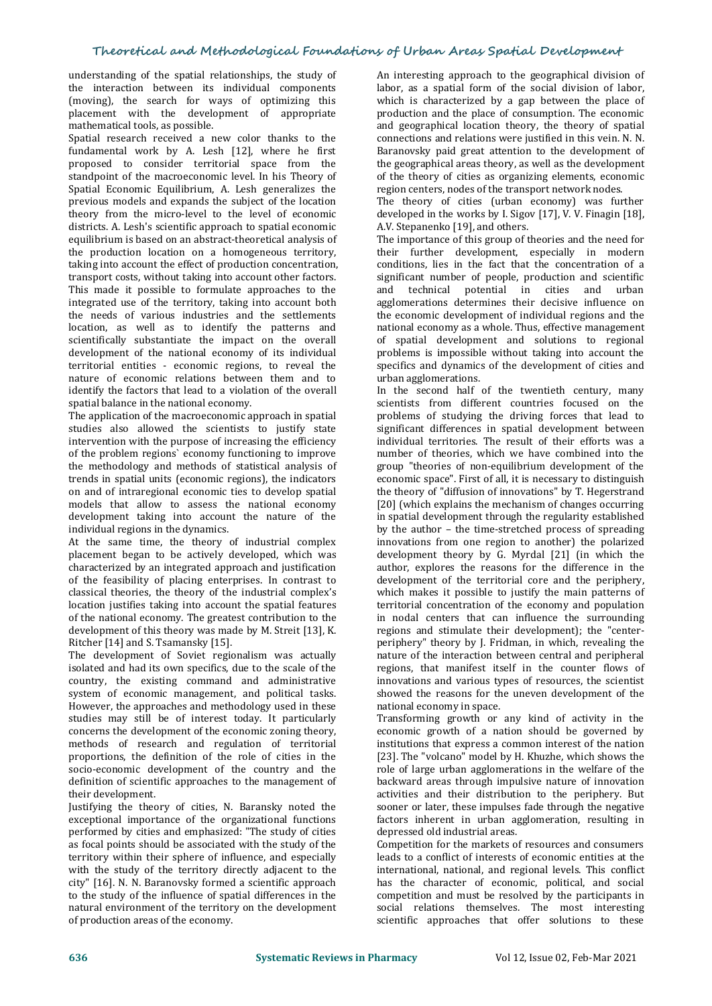understanding of the spatial relationships, the study of the interaction between its individual components (moving), the search for ways of optimizing this placement with the development of appropriate mathematical tools, as possible.

Spatial research received a new color thanks to the fundamental work by A. Lesh [12], where he first proposed to consider territorial space from the standpoint of the macroeconomic level. In his Theory of Spatial Economic Equilibrium, A. Lesh generalizes the previous models and expands the subject of the location theory from the micro-level to the level of economic districts. A. Lesh's scientific approach to spatial economic equilibrium is based on an abstract-theoretical analysis of the production location on a homogeneous territory, taking into account the effect of production concentration, transport costs, without taking into account other factors. This made it possible to formulate approaches to the integrated use of the territory, taking into account both the needs of various industries and the settlements location, as well as to identify the patterns and scientifically substantiate the impact on the overall development of the national economy of its individual territorial entities - economic regions, to reveal the nature of economic relations between them and to identify the factors that lead to a violation of the overall spatial balance in the national economy.

The application of the macroeconomic approach in spatial studies also allowed the scientists to justify state intervention with the purpose of increasing the efficiency of the problem regions` economy functioning to improve the methodology and methods of statistical analysis of trends in spatial units (economic regions), the indicators on and of intraregional economic ties to develop spatial models that allow to assess the national economy development taking into account the nature of the individual regions in the dynamics.

At the same time, the theory of industrial complex placement began to be actively developed, which was characterized by an integrated approach and justification of the feasibility of placing enterprises. In contrast to classical theories, the theory of the industrial complex's location justifies taking into account the spatial features of the national economy. The greatest contribution to the development of this theory was made by M. Streit [13], K. Ritcher [14] and S. Tsamansky [15].

The development of Soviet regionalism was actually isolated and had its own specifics, due to the scale of the country, the existing command and administrative system of economic management, and political tasks. However, the approaches and methodology used in these studies may still be of interest today. It particularly concerns the development of the economic zoning theory, methods of research and regulation of territorial proportions, the definition of the role of cities in the socio-economic development of the country and the definition of scientific approaches to the management of their development.

Justifying the theory of cities, N. Baransky noted the exceptional importance of the organizational functions performed by cities and emphasized: "The study of cities as focal points should be associated with the study of the territory within their sphere of influence, and especially with the study of the territory directly adjacent to the city" [16]. N. N. Baranovsky formed a scientific approach to the study of the influence of spatial differences in the natural environment of the territory on the development of production areas of the economy.

An interesting approach to the geographical division of labor, as a spatial form of the social division of labor, which is characterized by a gap between the place of production and the place of consumption. The economic and geographical location theory, the theory of spatial connections and relations were justified in this vein. N. N. Baranovsky paid great attention to the development of the geographical areas theory, as well as the development of the theory of cities as organizing elements, economic region centers, nodes of the transport network nodes.

The theory of cities (urban economy) was further developed in the works by I. Sigov  $[17]$ , V. V. Finagin  $[18]$ , A.V. Stepanenko [19], and others.

The importance of this group of theories and the need for their further development, especially in modern conditions, lies in the fact that the concentration of a significant number of people, production and scientific and technical potential in cities and urban agglomerations determines their decisive influence on the economic development of individual regions and the national economy as a whole. Thus, effective management of spatial development and solutions to regional problems is impossible without taking into account the specifics and dynamics of the development of cities and urban agglomerations.

In the second half of the twentieth century, many scientists from different countries focused on the problems of studying the driving forces that lead to significant differences in spatial development between individual territories. The result of their efforts was a number of theories, which we have combined into the group "theories of non-equilibrium development of the economic space". First of all, it is necessary to distinguish the theory of "diffusion of innovations" by T. Hegerstrand [20] (which explains the mechanism of changes occurring in spatial development through the regularity established by the author - the time-stretched process of spreading innovations from one region to another) the polarized development theory by G. Myrdal [21] (in which the author, explores the reasons for the difference in the development of the territorial core and the periphery, which makes it possible to justify the main patterns of territorial concentration of the economy and population in nodal centers that can influence the surrounding regions and stimulate their development); the "center periphery" theory by J. Fridman, in which, revealing the nature of the interaction between central and peripheral regions, that manifest itself in the counter flows of innovations and various types of resources, the scientist showed the reasons for the uneven development of the national economy in space.

Transforming growth or any kind of activity in the economic growth of a nation should be governed by institutions that express a common interest of the nation [23]. The "volcano" model by H. Khuzhe, which shows the role of large urban agglomerations in the welfare of the backward areas through impulsive nature of innovation activities and their distribution to the periphery. But sooner or later, these impulses fade through the negative factors inherent in urban agglomeration, resulting in depressed old industrial areas.

Competition for the markets of resources and consumers leads to a conflict of interests of economic entities at the international, national, and regional levels. This conflict has the character of economic, political, and social competition and must be resolved by the participants in social relations themselves. The most interesting scientific approaches that offer solutions to these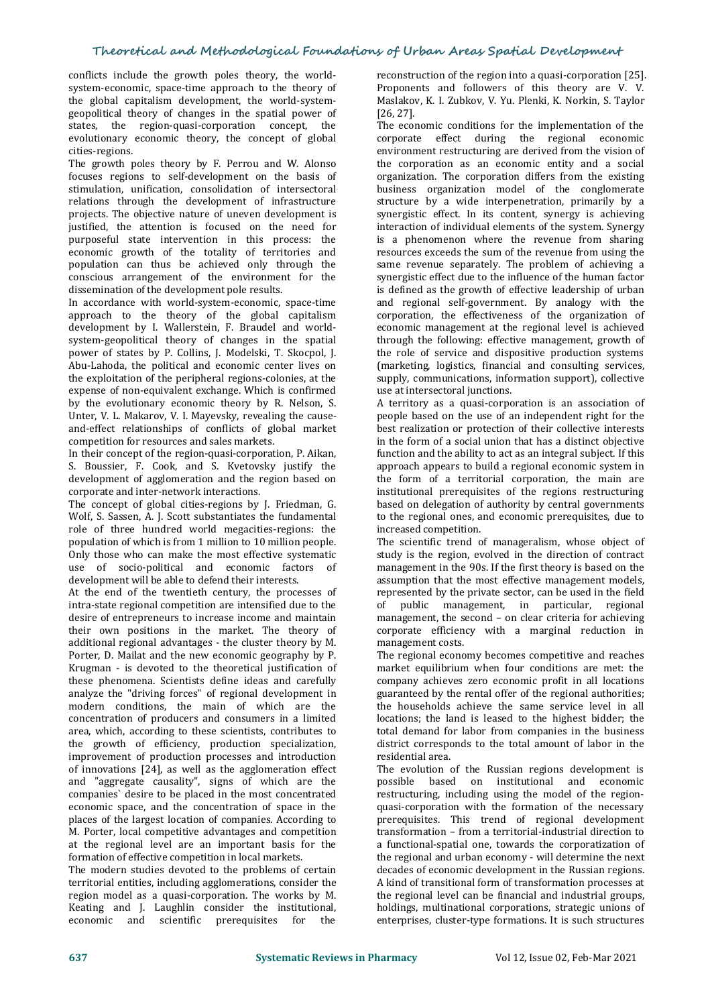conflicts include the growth poles theory, the worldsystem-economic, space-time approach to the theory of the global capitalism development, the world-system geopolitical theory of changes in the spatial power of states, the region-quasi-corporation concept, the evolutionary economic theory, the concept of global cities-regions.

The growth poles theory by F. Perrou and W. Alonso focuses regions to self-development on the basis of stimulation, unification, consolidation of intersectoral relations through the development of infrastructure projects. The objective nature of uneven development is justified, the attention is focused on the need for purposeful state intervention in this process: the economic growth of the totality of territories and population can thus be achieved only through the conscious arrangement of the environment for the dissemination of the development pole results.

In accordance with world-system-economic, space-time approach to the theory of the global capitalism development by I. Wallerstein, F. Braudel and world system-geopolitical theory of changes in the spatial power of states by P. Collins, J. Modelski, T. Skocpol, J. Abu-Lahoda, the political and economic center lives on the exploitation of the peripheral regions-colonies, at the expense of non-equivalent exchange. Which is confirmed by the evolutionary economic theory by R. Nelson, S. Unter, V. L. Makarov, V. I. Mayevsky, revealing the cause and-effect relationships of conflicts of global market competition for resources and sales markets.

In their concept of the region-quasi-corporation, P. Aikan, S. Boussier, F. Cook, and S. Kvetovsky justify the development of agglomeration and the region based on corporate and inter-network interactions.

The concept of global cities-regions by J. Friedman, G. Wolf, S. Sassen, A. J. Scott substantiates the fundamental role of three hundred world megacities-regions: the population of which is from 1 million to 10 million people. Only those who can make the most effective systematic use of socio-political and economic factors of development will be able to defend their interests.

At the end of the twentieth century, the processes of intra-state regional competition are intensified due to the desire of entrepreneurs to increase income and maintain their own positions in the market. The theory of additional regional advantages - the cluster theory by M. Porter, D. Mailat and the new economic geography by P. Krugman - is devoted to the theoretical justification of these phenomena. Scientists define ideas and carefully analyze the "driving forces" of regional development in modern conditions, the main of which are the concentration of producers and consumers in a limited area, which, according to these scientists, contributes to the growth of efficiency, production specialization, improvement of production processes and introduction of innovations [24], as well as the agglomeration effect The evolutional manner and "aggregate causality", signs of which are the prossible and "aggregate causality", signs of which are the companies' desire to be placed in the most concentrated economic space, and the concentration of space in the places of the largest location of companies. According to M. Porter, local competitive advantages and competition at the regional level are an important basis for the formation of effective competition in local markets.

The modern studies devoted to the problems of certain territorial entities, including agglomerations, consider the region model as a quasi-corporation. The works by M. Keating and J. Laughlin consider the institutional, economic and scientific prerequisites for the

reconstruction of the region into aquasi-corporation [25]. Proponents and followers of this theory are V. V. Maslakov, K. I. Zubkov, V. Yu. Plenki, K. Norkin, S. Taylor [26, 27].

The economic conditions for the implementation of the corporate effect during the regional economic environment restructuring are derived from the vision of the corporation as an economic entity and a social organization. The corporation differs from the existing business organization model of the conglomerate structure by a wide interpenetration, primarily by a synergistic effect. In its content, synergy is achieving interaction of individual elements of the system. Synergy is a phenomenon where the revenue from sharing resources exceeds the sum of the revenue from using the same revenue separately. The problem of achieving a synergistic effect due to the influence of the human factor is defined as the growth of effective leadership of urban and regional self-government. By analogy with the corporation, the effectiveness of the organization of economic management at the regional level is achieved through the following: effective management, growth of the role of service and dispositive production systems (marketing, logistics, financial and consulting services, supply, communications, information support), collective use at intersectoral junctions.

A territory as a quasi-corporation is an association of people based on the use of an independent right for the best realization or protection of their collective interests in the form of a social union that has a distinct objective function and the ability to act as an integral subject. If this approach appears to build a regional economic system in the form of a territorial corporation, the main are institutional prerequisites of the regions restructuring based on delegation of authority by central governments to the regional ones, and economic prerequisites, due to increased competition.

The scientific trend of manageralism, whose object of study is the region, evolved in the direction of contract management in the 90s. If the first theory is based on the assumption that the most effective management models, represented by the private sector, can be used in the field of public management, in particular, regional management, the second – on clear criteria for achieving corporate efficiency with a marginal reduction in management costs.

The regional economy becomes competitive and reaches market equilibrium when four conditions are met: the company achieves zero economic profit in all locations guaranteed by the rental offer of the regional authorities; the households achieve the same service level in all locations; the land is leased to the highest bidder; the total demand for labor from companies in the business district corresponds to the total amount of labor in the residential area.

The evolution of the Russian regions development is based on institutional and economic restructuring, including using the model of the region quasi-corporation with the formation of the necessary prerequisites. This trend of regional development transformation – from a territorial-industrial direction to a functional-spatial one, towards the corporatization of the regional and urban economy - will determine the next decades of economic development in the Russian regions. A kind of transitional form of transformation processes at the regional level can be financial and industrial groups, holdings, multinational corporations, strategic unions of enterprises, cluster-type formations. It is such structures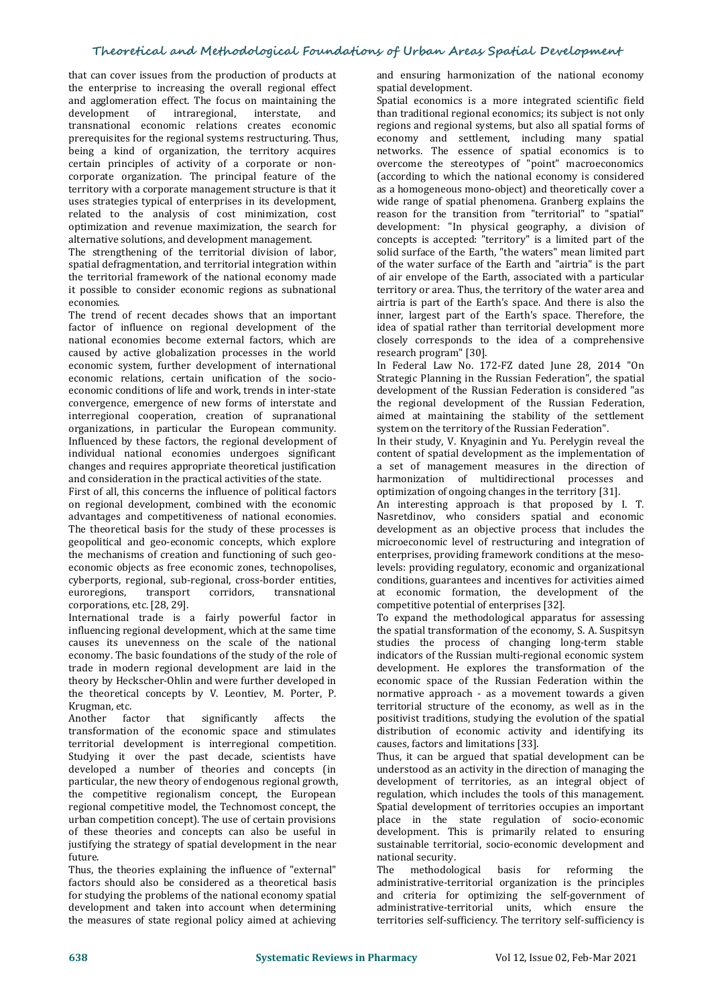that can cover issues from the production of products at the enterprise to increasing the overall regional effect and agglomeration effect. The focus on maintaining the development of intraregional, interstate, and transnational economic relations creates economic prerequisites for the regional systems restructuring. Thus, being a kind of organization, the territory acquires certain principles of activity of a corporate or non corporate organization. The principal feature of the territory with a corporate management structure is that it uses strategies typical of enterprises in its development, related to the analysis of cost minimization, cost optimization and revenue maximization, the search for alternative solutions, and development management.

The strengthening of the territorial division of labor, spatial defragmentation, and territorial integration within the territorial framework of the national economy made it possible to consider economic regions as subnational economies.

The trend of recent decades shows that an important factor of influence on regional development of the national economies become external factors, which are externed by active globalization processes in the world research program" [30]. caused by active globalization processes in the world economic system, further development of international economic relations, certain unification of the socio economic conditions of life and work, trends in inter-state convergence, emergence of new forms of interstate and interregional cooperation, creation of supranational organizations, in particular the European community. Influenced by these factors, the regional development of individual national economies undergoes significant changes and requires appropriate theoretical justification and consideration in the practical activities of the state.

First of all, this concerns the influence of political factors on regional development, combined with the economic advantages and competitiveness of national economies. The theoretical basis for the study of these processes is geopolitical and geo-economic concepts, which explore the mechanisms of creation and functioning of such geo economic objects as free economic zones, technopolises, cyberports, regional, sub-regional, cross-border entities, euroregions, corporations, etc. [28, 29].

International trade is a fairly powerful factor in influencing regional development, which at the same time causes its unevenness on the scale of the national economy. The basic foundations of the study of the role of trade in modern regional development are laid in the theory by Heckscher-Ohlin and were further developed in the theoretical concepts by V. Leontiev, M. Porter, P. Krugman, etc.<br>Another fa

factor that significantly affects the transformation of the economic space and stimulates territorial development is interregional competition. Studying it over the past decade, scientists have developed a number of theories and concepts (in particular, the new theory of endogenous regional growth, the competitive regionalism concept, the European regional competitive model, the Technomost concept, the urban competition concept). The use of certain provisions of these theories and concepts can also be useful in justifying the strategy of spatial development in the near future.

Thus, the theories explaining the influence of "external" factors should also be considered as a theoretical basis for studying the problems of the national economy spatial development and taken into account when determining the measures of state regional policy aimed at achieving

and ensuring harmonization of the national economy spatial development.

Spatial economics is a more integrated scientific field than traditional regional economics; its subject is not only regions and regional systems, but also all spatial forms of economy and settlement, including many spatial networks. The essence of spatial economics is to overcome the stereotypes of "point" macroeconomics (according to which the national economy is considered as a homogeneous mono-object) and theoretically cover a wide range of spatial phenomena. Granberg explains the reason for the transition from "territorial" to "spatial" development: "In physical geography, a division of concepts is accepted: "territory" is a limited part of the solid surface of the Earth, "the waters" mean limited part of the water surface of the Earth and "airtria" is the part of air envelope of the Earth, associated with a particular territory or area. Thus, the territory of the water area and airtria is part of the Earth's space. And there is also the inner, largest part of the Earth's space. Therefore, the idea of spatial rather than territorial development more closely corresponds to the idea of a comprehensive

In Federal Law No. 172-FZ dated June 28, 2014 "On Strategic Planning in the Russian Federation", the spatial development of the Russian Federation is considered "as the regional development of the Russian Federation, aimed at maintaining the stability of the settlement system on the territory of the Russian Federation".

In their study, V. Knyaginin and Yu. Perelygin reveal the content of spatial development as the implementation of a set of management measures in the direction of harmonization of multidirectional processes and optimization of ongoing changes in the territory [31].

An interesting approach is that proposed by I. T. Nasretdinov, who considers spatial and economic development as an objective process that includes the microeconomic level of restructuring and integration of enterprises, providing framework conditions at the mesolevels: providing regulatory, economic and organizational conditions, guarantees and incentives for activities aimed at economic formation, the development of the competitive potential of enterprises [32].

To expand the methodological apparatus for assessing the spatial transformation of the economy, S.A. Suspitsyn studies the process of changing long-term stable indicators of the Russian multi-regional economic system development. He explores the transformation of the economic space of the Russian Federation within the normative approach - as a movement towards a given territorial structure of the economy, as well as in the positivist traditions, studying the evolution of the spatial distribution of economic activity and identifying its causes, factors and limitations [33].

Thus, it can be argued that spatial development can be understood as an activity in the direction of managing the development of territories, as an integral object of regulation, which includes the tools of this management. Spatial development of territories occupies an important place in the state regulation of socio-economic development. This is primarily related to ensuring sustainable territorial, socio-economic development and national security.

The methodological basis for reforming the administrative-territorial organization is the principles and criteria for optimizing the self-government of administrative-territorial units, which ensure the territories self-sufficiency. The territory self-sufficiency is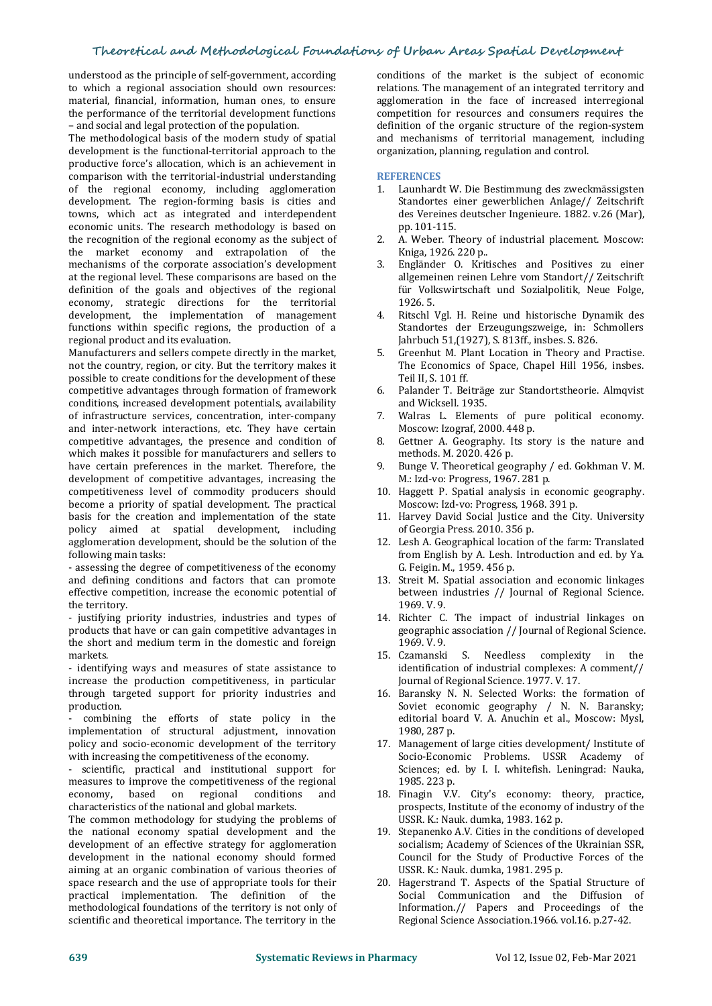understood as the principle of self-government, according to which a regional association should own resources: material, financial, information, human ones, to ensure the performance of the territorial development functions – and social and legal protection of the population.

The methodological basis of the modern study of spatial development is the functional-territorial approach to the productive force's allocation, which is an achievement in comparison with the territorial-industrial understanding of the regional economy, including agglomeration development. The region-forming basis is cities and towns, which act as integrated and interdependent economic units. The research methodology is based on<br>the recognition of the regional economy as the subject of 2 the recognition of the regional economy as the subject of the market economy and extrapolation of the<br>mechanisms of the cornorate association's development mechanisms of the corporate association's development at the regional level. These comparisons are based on the definition of the goals and objectives of the regional economy, strategic directions for the territorial development, the implementation of management functions within specific regions, the production of a regional product and its evaluation.

Manufacturers and sellers compete directly in the market, not the country, region, or city. But the territory makes it possible to create conditions for the development of these<br>competitive advantages through formation of framework 6 competitive advantages through formation of framework conditions, increased development potentials, availability of infrastructure services, concentration, inter-company and inter-network interactions, etc. They have certain<br>competitive advantages the presence and condition of 8 competitive advantages, the presence and condition of which makes it possible for manufacturers and sellers to have certain preferences in the market. Therefore, the development of competitive advantages, increasing the competitiveness level of commodity producers should become a priority of spatial development. The practical basis for the creation and implementation of the state policy aimed at spatial development, including agglomeration development, should be the solution of the following main tasks:

- assessing the degree of competitiveness of the economy and defining conditions and factors that can promote effective competition, increase the economic potential of the territory.

- justifying priority industries, industries and types of products that have or can gain competitive advantages in the short and medium term in the domestic and foreign 1969. V. 9.<br>markets. 15. Czamanski markets.

- identifying ways and measures of state assistance to increase the production competitiveness, in particular through targeted support for priority industries and production.

combining the efforts of state policy in the implementation of structural adjustment, innovation policy and socio-economic development of the territory with increasing the competitiveness of the economy.

- scientific, practical and institutional support for measures to improve the competitiveness of the regional<br>economy, based on regional conditions and economy, based on regional conditions and 18. Finagin V.V. City's economy: theory, practice, characteristics of the national and global markets.

The common methodology for studying the problems of the national economy spatial development and the development of an effective strategy for agglomeration development in the national economy should formed aiming at an organic combination of various theories of space research and the use of appropriate tools for their practical implementation. The definition of the methodological foundations of the territory is notonly of scientific and theoretical importance. The territory in the

conditions of the market is the subject of economic relations. The management of an integrated territory and agglomeration in the face of increased interregional competition for resources and consumers requires the definition of the organic structure of the region-system and mechanisms of territorial management, including organization, planning, regulation and control.

#### **REFERENCES**

- 1. [Launhardt](https://ru.wikipedia.org/wiki/%D0%9B%D0%B0%D1%83%D0%BD%D1%85%D0%B0%D1%80%D0%B4%D1%82,_%D0%92%D0%B8%D0%BB%D1%8C%D0%B3%D0%B5%D0%BB%D1%8C%D0%BC) W. Die Bestimmung des [zweckmässigsten](https://books.google.ru/books?id=zgM-AQAAMAAJ&pg=RA1-PA106&redir_esc=y) Standortes einer gewerblichen Anlage// [Zeitschrift](https://en.wikipedia.org/wiki/de:Zeitschrift_des_Vereins_deutscher_Ingenieure) des Vereines deutscher Ingenieure. 1882. v.26 (Mar), pp. 101-115.
- 2. A. Weber. Theory of industrial placement. Moscow: Kniga, 1926. 220 p..
- 3. Engländer O. Kritisches and Positives zu einer allgemeinen reinen Lehre vom Standort// Zeitschrift für Volkswirtschaft und Sozialpolitik, Neue Folge, 1926. 5.
- 4. Ritschl Vgl. H. Reine und historische Dynamik des Standortes der Erzeugungszweige, in: Schmollers Jahrbuch 51,(1927), S. 813ff., insbes. S. 826.
- 5. Greenhut M. Plant Location in Theory and Practise. The Economics of Space, Chapel Hill 1956, insbes. Teil II, S. 101 ff.
- 6. Palander T. Beiträge zur Standortstheorie. Almqvist
- Walras L. Elements of pure political economy. Moscow: Izograf, 2000. 448 p.
- Gettner A. Geography. Its story is the nature and methods. M. 2020. 426 p.
- 9. Bunge V. Theoretical geography / ed. Gokhman V. M. M.: Izd-vo: Progress, 1967. 281 p.
- 10. Haggett P. Spatial analysis in economic geography. Moscow: Izd-vo: Progress, 1968. 391 p.
- 11. Harvey David Social Justice and the City. University of Georgia Press. 2010.356 р.
- 12. Lesh A. Geographical location of the farm: Translated from English by A. Lesh. Introduction and ed. by Ya. G. Feigin. M., 1959. 456 p.
- 13. Streit M. Spatial association and economic linkages between industries // Journal of Regional Science. 1969. V. 9.
- 14. Richter С. The impact of industrial linkages on geographic association // Journal of Regional Science.
- 1969. V. 9.<br>Czamanski S. Needless complexity in the identification of industrial complexes: A comment// Journal of Regional Science. 1977. V. 17.
- 16. Baransky N. N. Selected Works: the formation of Soviet economic geography / N. N. Baransky; editorial board V. A. Anuchin et al., Moscow: Mysl, 1980, 287 p.
- 17. Management of large cities development/ Institute of Socio-Economic Problems. USSR Academy of Sciences; ed. by I. I. whitefish. Leningrad: Nauka, 1985. 223 p.
- prospects, Institute of the economy of industry of the USSR. K.: Nauk. dumka, 1983. 162 p.
- 19. Stepanenko A.V. Cities in the conditions of developed socialism; Academy of Sciences of the Ukrainian SSR, Council for the Study of Productive Forces of the USSR. K.: Nauk. dumka, 1981. 295 p.
- 20. Hagerstrand T. Aspects of the Spatial Structure of Social Communication and the Diffusion of Information.// Papers and Proceedings of the Regional Science Association.1966. vol.16. p.27-42.